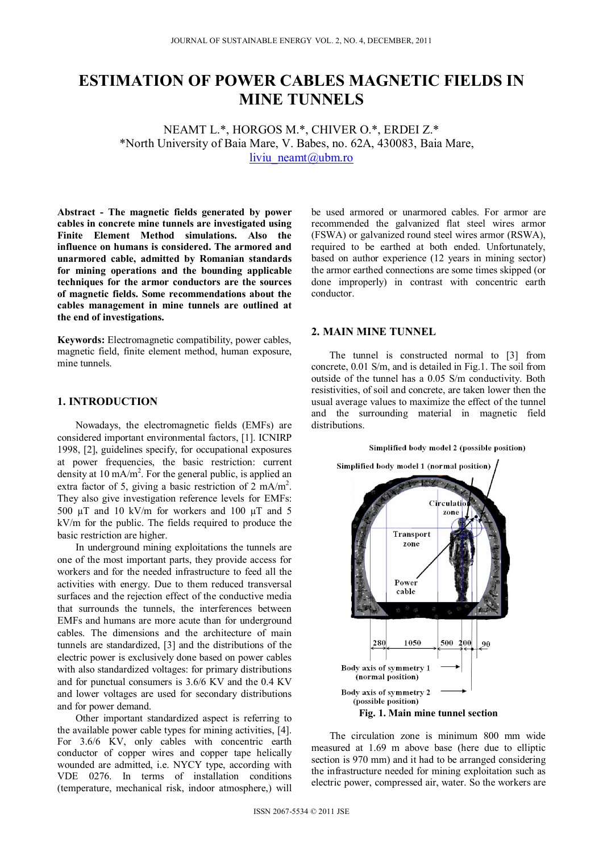# **ESTIMATION OF POWER CABLES MAGNETIC FIELDS IN MINE TUNNELS**

NEAMT L.\*, HORGOS M.\*, CHIVER O.\*, ERDEI Z.\* \*North University of Baia Mare, V. Babes, no. 62A, 430083, Baia Mare, liviu neamt@ubm.ro

**Abstract - The magnetic fields generated by power cables in concrete mine tunnels are investigated using Finite Element Method simulations. Also the influence on humans is considered. The armored and unarmored cable, admitted by Romanian standards for mining operations and the bounding applicable techniques for the armor conductors are the sources of magnetic fields. Some recommendations about the cables management in mine tunnels are outlined at the end of investigations.** 

**Keywords:** Electromagnetic compatibility, power cables, magnetic field, finite element method, human exposure, mine tunnels.

## **1. INTRODUCTION**

Nowadays, the electromagnetic fields (EMFs) are considered important environmental factors, [1]. ICNIRP 1998, [2], guidelines specify, for occupational exposures at power frequencies, the basic restriction: current density at 10 mA/m<sup>2</sup>. For the general public, is applied an extra factor of 5, giving a basic restriction of 2 mA/m<sup>2</sup>. They also give investigation reference levels for EMFs: 500 µT and 10 kV/m for workers and 100 µT and 5 kV/m for the public. The fields required to produce the basic restriction are higher.

In underground mining exploitations the tunnels are one of the most important parts, they provide access for workers and for the needed infrastructure to feed all the activities with energy. Due to them reduced transversal surfaces and the rejection effect of the conductive media that surrounds the tunnels, the interferences between EMFs and humans are more acute than for underground cables. The dimensions and the architecture of main tunnels are standardized, [3] and the distributions of the electric power is exclusively done based on power cables with also standardized voltages: for primary distributions and for punctual consumers is 3.6/6 KV and the 0.4 KV and lower voltages are used for secondary distributions and for power demand.

Other important standardized aspect is referring to the available power cable types for mining activities, [4]. For 3.6/6 KV, only cables with concentric earth conductor of copper wires and copper tape helically wounded are admitted, i.e. NYCY type, according with VDE 0276. In terms of installation conditions (temperature, mechanical risk, indoor atmosphere,) will

be used armored or unarmored cables. For armor are recommended the galvanized flat steel wires armor (FSWA) or galvanized round steel wires armor (RSWA), required to be earthed at both ended. Unfortunately, based on author experience (12 years in mining sector) the armor earthed connections are some times skipped (or done improperly) in contrast with concentric earth conductor.

### **2. MAIN MINE TUNNEL**

The tunnel is constructed normal to [3] from concrete, 0.01 S/m, and is detailed in Fig.1. The soil from outside of the tunnel has a 0.05 S/m conductivity. Both resistivities, of soil and concrete, are taken lower then the usual average values to maximize the effect of the tunnel and the surrounding material in magnetic field distributions.

### Simplified body model 2 (possible position)



The circulation zone is minimum 800 mm wide measured at 1.69 m above base (here due to elliptic section is 970 mm) and it had to be arranged considering the infrastructure needed for mining exploitation such as electric power, compressed air, water. So the workers are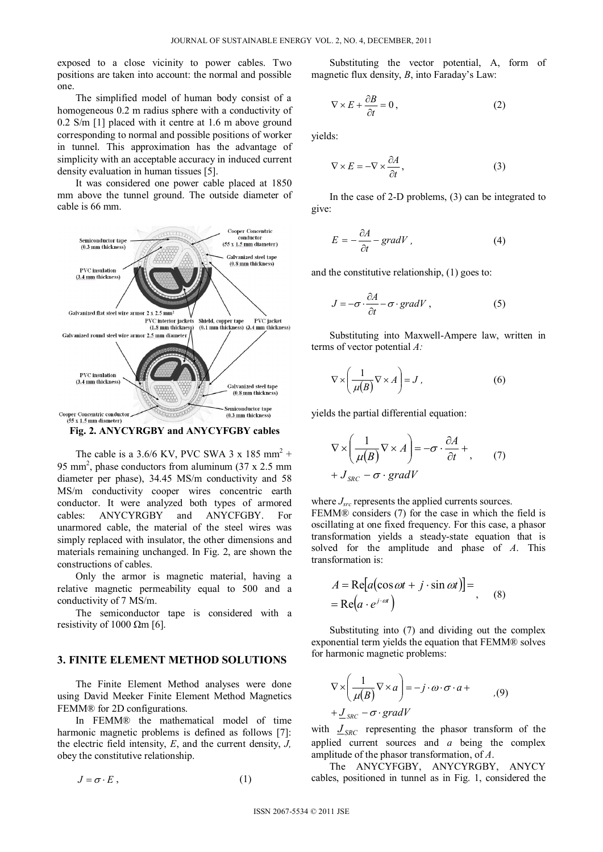exposed to a close vicinity to power cables. Two positions are taken into account: the normal and possible one.

The simplified model of human body consist of a homogeneous 0.2 m radius sphere with a conductivity of 0.2 S/m [1] placed with it centre at 1.6 m above ground corresponding to normal and possible positions of worker in tunnel. This approximation has the advantage of simplicity with an acceptable accuracy in induced current density evaluation in human tissues [5].

It was considered one power cable placed at 1850 mm above the tunnel ground. The outside diameter of cable is 66 mm.



**Fig. 2. ANYCYRGBY and ANYCYFGBY cables** 

The cable is a 3.6/6 KV, PVC SWA 3 x 185 mm<sup>2</sup> + 95 mm<sup>2</sup>, phase conductors from aluminum  $(37 \times 2.5 \text{ mm})$ diameter per phase), 34.45 MS/m conductivity and 58 MS/m conductivity cooper wires concentric earth conductor. It were analyzed both types of armored cables: ANYCYRGBY and ANYCFGBY. For unarmored cable, the material of the steel wires was simply replaced with insulator, the other dimensions and materials remaining unchanged. In Fig. 2, are shown the constructions of cables.

Only the armor is magnetic material, having a relative magnetic permeability equal to 500 and a conductivity of 7 MS/m.

The semiconductor tape is considered with a resistivity of 1000  $\Omega$ m [6].

## **3. FINITE ELEMENT METHOD SOLUTIONS**

The Finite Element Method analyses were done using David Meeker Finite Element Method Magnetics FEMM® for 2D configurations.

In FEMM® the mathematical model of time harmonic magnetic problems is defined as follows [7]: the electric field intensity, *E*, and the current density, *J,* obey the constitutive relationship.

 $J = \sigma \cdot E$ , (1)

Substituting the vector potential, A, form of magnetic flux density, *B*, into Faraday's Law:

$$
\nabla \times E + \frac{\partial B}{\partial t} = 0, \qquad (2)
$$

yields:

$$
\nabla \times E = -\nabla \times \frac{\partial A}{\partial t},\tag{3}
$$

In the case of 2-D problems, (3) can be integrated to give:

$$
E = -\frac{\partial A}{\partial t} - gradV, \qquad (4)
$$

and the constitutive relationship, (1) goes to:

$$
J = -\sigma \cdot \frac{\partial A}{\partial t} - \sigma \cdot \text{grad} V \,, \tag{5}
$$

Substituting into Maxwell-Ampere law, written in terms of vector potential *A:* 

$$
\nabla \times \left(\frac{1}{\mu(B)} \nabla \times A\right) = J\,,\tag{6}
$$

yields the partial differential equation:

$$
\nabla \times \left(\frac{1}{\mu(B)} \nabla \times A\right) = -\sigma \cdot \frac{\partial A}{\partial t} + , \qquad (7)
$$

$$
+ J_{SRC} - \sigma \cdot gradV
$$

where  $J_{src}$  represents the applied currents sources.

FEMM® considers (7) for the case in which the field is oscillating at one fixed frequency. For this case, a phasor transformation yields a steady-state equation that is solved for the amplitude and phase of *A*. This transformation is:

$$
A = \text{Re}[a(\cos \omega t + j \cdot \sin \omega t)] =
$$
  
= Re(a \cdot e^{j \cdot \omega t}) \t(8)

Substituting into (7) and dividing out the complex exponential term yields the equation that FEMM® solves for harmonic magnetic problems:

$$
\nabla \times \left(\frac{1}{\mu(B)} \nabla \times a\right) = -j \cdot \omega \cdot \sigma \cdot a +
$$
  
+  $\underline{J}_{SRC} - \sigma \cdot gradV$  (9)

with  $J_{SRC}$  representing the phasor transform of the applied current sources and *a* being the complex amplitude of the phasor transformation, of *A*.

The ANYCYFGBY, ANYCYRGBY, ANYCY cables, positioned in tunnel as in Fig. 1, considered the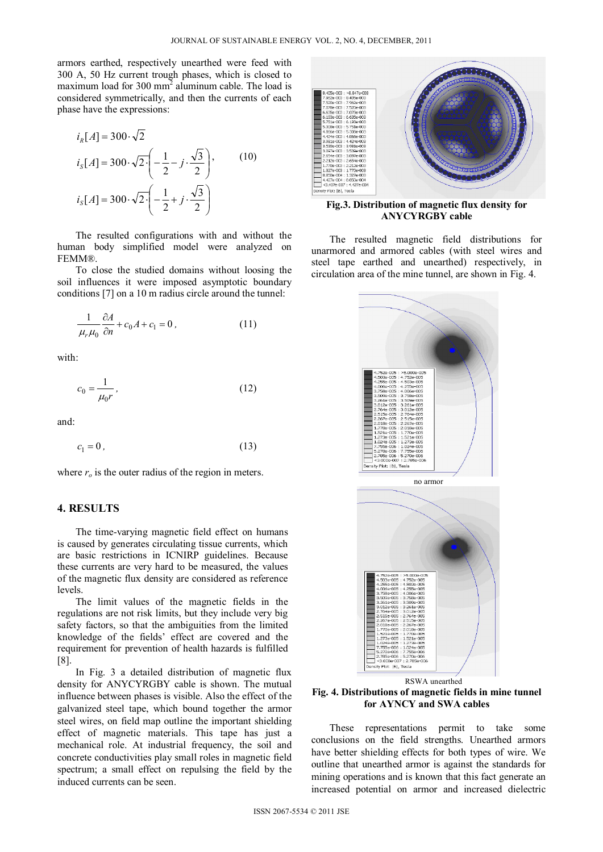armors earthed, respectively unearthed were feed with 300 A, 50 Hz current trough phases, which is closed to maximum load for  $300 \text{ mm}^2$  aluminum cable. The load is considered symmetrically, and then the currents of each phase have the expressions:

$$
iR[A] = 300 \cdot \sqrt{2}
$$
  
\n
$$
iS[A] = 300 \cdot \sqrt{2} \cdot \left(-\frac{1}{2} - j \cdot \frac{\sqrt{3}}{2}\right),
$$
\n(10)  
\n
$$
iS[A] = 300 \cdot \sqrt{2} \cdot \left(-\frac{1}{2} + j \cdot \frac{\sqrt{3}}{2}\right)
$$

The resulted configurations with and without the human body simplified model were analyzed on FEMM®.

To close the studied domains without loosing the soil influences it were imposed asymptotic boundary conditions [7] on a 10 m radius circle around the tunnel:

$$
\frac{1}{\mu_r \mu_0} \frac{\partial A}{\partial n} + c_0 A + c_1 = 0, \qquad (11)
$$

with:

$$
c_0 = \frac{1}{\mu_0 r},\tag{12}
$$

and:

$$
c_1 = 0 \tag{13}
$$

where  $r<sub>o</sub>$  is the outer radius of the region in meters.

## **4. RESULTS**

The time-varying magnetic field effect on humans is caused by generates circulating tissue currents, which are basic restrictions in ICNIRP guidelines. Because these currents are very hard to be measured, the values of the magnetic flux density are considered as reference levels.

The limit values of the magnetic fields in the regulations are not risk limits, but they include very big safety factors, so that the ambiguities from the limited knowledge of the fields' effect are covered and the requirement for prevention of health hazards is fulfilled [8].

In Fig. 3 a detailed distribution of magnetic flux density for ANYCYRGBY cable is shown. The mutual influence between phases is visible. Also the effect of the galvanized steel tape, which bound together the armor steel wires, on field map outline the important shielding effect of magnetic materials. This tape has just a mechanical role. At industrial frequency, the soil and concrete conductivities play small roles in magnetic field spectrum; a small effect on repulsing the field by the induced currents can be seen.



**Fig.3. Distribution of magnetic flux density for ANYCYRGBY cable** 

The resulted magnetic field distributions for unarmored and armored cables (with steel wires and steel tape earthed and unearthed) respectively, in circulation area of the mine tunnel, are shown in Fig. 4.



**Fig. 4. Distributions of magnetic fields in mine tunnel for AYNCY and SWA cables** 

These representations permit to take some conclusions on the field strengths. Unearthed armors have better shielding effects for both types of wire. We outline that unearthed armor is against the standards for mining operations and is known that this fact generate an increased potential on armor and increased dielectric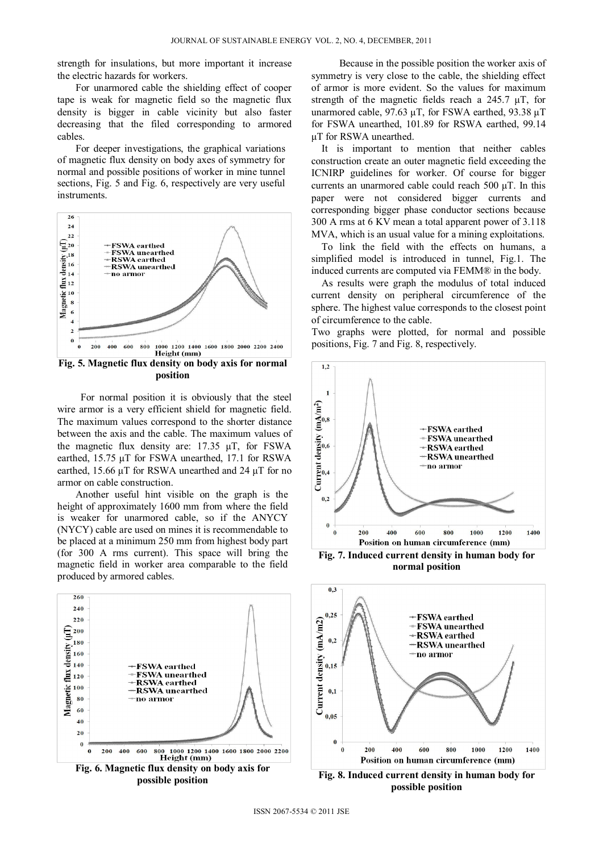strength for insulations, but more important it increase the electric hazards for workers.

For unarmored cable the shielding effect of cooper tape is weak for magnetic field so the magnetic flux density is bigger in cable vicinity but also faster decreasing that the filed corresponding to armored cables.

For deeper investigations, the graphical variations of magnetic flux density on body axes of symmetry for normal and possible positions of worker in mine tunnel sections, Fig. 5 and Fig. 6, respectively are very useful instruments.



**Fig. 5. Magnetic flux density on body axis for normal position** 

 For normal position it is obviously that the steel wire armor is a very efficient shield for magnetic field. The maximum values correspond to the shorter distance between the axis and the cable. The maximum values of the magnetic flux density are: 17.35 μT, for FSWA earthed, 15.75 μT for FSWA unearthed, 17.1 for RSWA earthed, 15.66 μT for RSWA unearthed and 24 μT for no armor on cable construction.

Another useful hint visible on the graph is the height of approximately 1600 mm from where the field is weaker for unarmored cable, so if the ANYCY (NYCY) cable are used on mines it is recommendable to be placed at a minimum 250 mm from highest body part (for 300 A rms current). This space will bring the magnetic field in worker area comparable to the field produced by armored cables.



 Because in the possible position the worker axis of symmetry is very close to the cable, the shielding effect of armor is more evident. So the values for maximum strength of the magnetic fields reach a 245.7 μT, for unarmored cable, 97.63 μT, for FSWA earthed, 93.38 μT for FSWA unearthed, 101.89 for RSWA earthed, 99.14 μT for RSWA unearthed.

It is important to mention that neither cables construction create an outer magnetic field exceeding the ICNIRP guidelines for worker. Of course for bigger currents an unarmored cable could reach 500 μT. In this paper were not considered bigger currents and corresponding bigger phase conductor sections because 300 A rms at 6 KV mean a total apparent power of 3.118 MVA, which is an usual value for a mining exploitations.

To link the field with the effects on humans, a simplified model is introduced in tunnel, Fig.1. The induced currents are computed via FEMM® in the body.

As results were graph the modulus of total induced current density on peripheral circumference of the sphere. The highest value corresponds to the closest point of circumference to the cable.

Two graphs were plotted, for normal and possible positions, Fig. 7 and Fig. 8, respectively.



**normal position** 



**possible position**